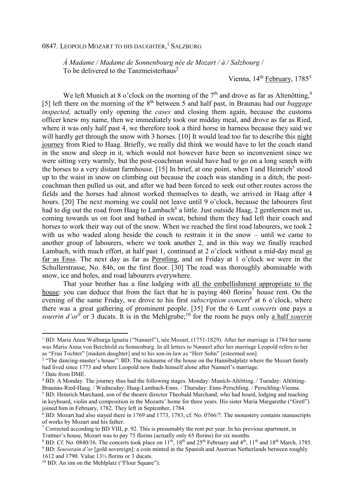## 0847. Leopold Mozart to his daughter,<sup>1</sup> Salzburg

*À Madame / Madame de Sonnenbourg née de Mozart / à / Salzbourg /*  To be delivered to the Tanzmeisterhaus<sup>2</sup>

Vienna,  $14<sup>th</sup>$  February,  $1785<sup>3</sup>$ 

We left Munich at 8 o'clock on the morning of the  $7<sup>th</sup>$  and drove as far as Altenötting,<sup>4</sup> [5] left there on the morning of the  $8<sup>th</sup>$  between 5 and half past, in Braunau had our *baggage inspected*, actually only opening the *cases* and closing them again, because the customs officer knew my name, then we immediately took our midday meal, and drove as far as Ried, where it was only half past 4, we therefore took a third horse in harness because they said we will hardly get through the snow with 3 horses. [10] It would lead too far to describe this night journey from Ried to Haag. Briefly, we really did think we would have to let the coach stand in the snow and sleep in it, which would not however have been so inconvenient since we were sitting very warmly, but the post-coachman would have had to go on a long search with the horses to a very distant farmhouse. [15] In brief, at one point, when I and Heinrich<sup>5</sup> stood up to the waist in snow on climbing out because the coach was standing in a ditch, the postcoachman then pulled us out, and after we had been forced to seek out other routes across the fields and the horses had almost worked themselves to death, we arrived in Haag after 4 hours. [20] The next morning we could not leave until 9 o'clock, because the labourers first had to dig out the road from Haag to Lambach<sup>6</sup> a little. Just outside Haag, 2 gentlemen met us, coming towards us on foot and bathed in sweat, behind them they had left their coach and horses to work their way out of the snow. When we reached the first road labourers, we took 2 with us who waded along beside the coach to restrain it in the snow – until we came to another group of labourers, where we took another 2, and in this way we finally reached Lambach, with much effort, at half past 1, continued at 2 o'clock without a mid-day meal as far as Enss. The next day as far as Perstling, and on Friday at 1 o'clock we were in the Schullerstrasse, No. 846, on the first floor. [30] The road was thoroughly abominable with snow, ice and holes, and road labourers everywhere.

That your brother has a fine lodging with all the embellishment appropriate to the house: you can deduce that from the fact that he is paying  $460$  florins<sup>7</sup> house rent. On the evening of the same Friday, we drove to his first *subscription concert*<sup>8</sup> at 6 o'clock, where there was a great gathering of prominent people. [35] For the 6 Lent *concerts* one pays a souvrin d'or<sup>9</sup> or 3 ducats. It is in the Mehlgrube;<sup>10</sup> for the room he pays only a half *souvrin* 

 $\overline{a}$ 

<sup>1</sup> BD: Maria Anna Walburga Ignatia ("Nannerl"), née Mozart, (1751-1829). After her marriage in 1784 her name was Maria Anna von Berchtold zu Sonnenburg. In all letters to Nannerl after her marriage Leopold refers to her as "Frau Tochter" [madam daughter] and to his son-in-law as "Herr Sohn" [esteemed son].

<sup>&</sup>lt;sup>2</sup> "The dancing-master's house": BD: The nickname of the house on the Hannibalplatz where the Mozart family had lived since 1773 and where Leopold now finds himself alone after Nannerl's marriage.

<sup>3</sup> Date from DME.

<sup>&</sup>lt;sup>4</sup> BD: A Monday. The journey thus had the following stages. Monday: Munich-Altötting. / Tuesday: Altötting-Braunau-Ried-Haag. / Wednesday: Haag-Lambach-Enns. / Thursday: Enns-Perschling. / Perschling-Vienna. <sup>5</sup> BD: Heinrich Marchand, son of the theatre director Theobald Marchand, who had board, lodging and teaching

in keyboard, violin and composition in the Mozarts' home for three years. His sister Maria Margarethe ("Gretl") joined him in February, 1782. They left in September, 1784.

<sup>&</sup>lt;sup>6</sup> BD: Mozart had also stayed there in 1769 and 1773, 1783; cf. No. 0766/7. The monastery contains manuscripts of works by Mozart and his father.

<sup>&</sup>lt;sup>7</sup> Corrected according to BD VIII, p. 92. This is presumably the rent per year. In his previous apartment, in Trattner's house, Mozart was to pay 75 florins (actually only 65 florins) for six months.

<sup>&</sup>lt;sup>8</sup> BD: Cf. No. 0840/16. The concerts took place on 11<sup>th</sup>, 18<sup>th</sup> and 25<sup>th</sup> February and 4<sup>th</sup>, 11<sup>th</sup> and 18<sup>th</sup> March, 1785. 9 BD: *Souverain d'or* [gold sovereign]: a coin minted in the Spanish and Austrian Netherlands between roughly 1612 and 1790. Value 13½ florins or 3 ducats.

<sup>&</sup>lt;sup>10</sup> BD: An inn on the Mehlplatz ("Flour Square").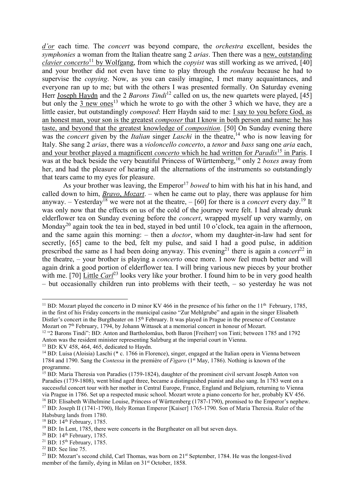*d'or* each time. The *concert* was beyond compare, the *orchestra* excellent, besides the *symphonies* a woman from the Italian theatre sang 2 *arias*. Then there was a new, outstanding *clavier concerto*<sup>11</sup> by Wolfgang, from which the *copyist* was still working as we arrived, [40] and your brother did not even have time to play through the *rondeau* because he had to supervise the *copying*. Now, as you can easily imagine, I met many acquaintances, and everyone ran up to me; but with the others I was presented formally. On Saturday evening Herr Joseph Haydn and the 2 *Barons Tindi*<sup>12</sup> called on us, the new quartets were played, [45] but only the  $\frac{3 \text{ new ones}}{3}$  which he wrote to go with the other 3 which we have, they are a little easier, but outstandingly *composed*: Herr Haydn said to me: I say to you before God, as an honest man, your son is the greatest *composer* that I know in both person and name: he has taste, and beyond that the greatest knowledge of *composition*. [50] On Sunday evening there was the *concert* given by the *Italian* singer *Laschi* in the theatre,<sup>14</sup> who is now leaving for Italy. She sang 2 *arias*, there was a *violoncello concerto*, a *tenor* and *bass* sang one *aria* each, and your brother played a magnificent *concerto* which he had written for *Paradis*<sup>15</sup> in Paris. I was at the back beside the very beautiful Princess of Württemberg,<sup>16</sup> only 2 *boxes* away from her, and had the pleasure of hearing all the alternations of the instruments so outstandingly that tears came to my eyes for pleasure.

As your brother was leaving, the Emperor<sup>17</sup> bowed to him with his hat in his hand, and called down to him, *Bravo*, *Mozart*. – when he came out to play, there was applause for him anyway. – Yesterday<sup>18</sup> we were not at the theatre,  $-$  [60] for there is a *concert* every day.<sup>19</sup> It was only now that the effects on us of the cold of the journey were felt. I had already drunk elderflower tea on Sunday evening before the *concert*, wrapped myself up very warmly, on Monday<sup>20</sup> again took the tea in bed, stayed in bed until 10 o'clock, tea again in the afternoon, and the same again this morning: – then a *doctor*, whom my daughter-in-law had sent for secretly, [65] came to the bed, felt my pulse, and said I had a good pulse, in addition prescribed the same as I had been doing anyway. This evening<sup>21</sup> there is again a *concert*<sup>22</sup> in the theatre, – your brother is playing a *concerto* once more. I now feel much better and will again drink a good portion of elderflower tea. I will bring various new pieces by your brother with me. [70] Little *Carl*<sup>23</sup> looks very like your brother. I found him to be in very good health – but occasionally children run into problems with their teeth, – so yesterday he was not

 $\overline{a}$ 

<sup>&</sup>lt;sup>11</sup> BD: Mozart played the concerto in D minor KV 466 in the presence of his father on the  $11<sup>th</sup>$  February, 1785, in the first of his Friday concerts in the municipal casino "Zur Mehlgrube" and again in the singer Elisabeth Distler's concert in the Burgtheater on 15<sup>th</sup> February. It was played in Prague in the presence of Constanze Mozart on 7th February, 1794, by Johann Wittasek at a memorial concert in honour of Mozart.

<sup>12</sup> "2 Barons Tindi": BD: Anton and Bartholomäus, both Baron [Freiherr] von Tinti; between 1785 and 1792 Anton was the resident minister representing Salzburg at the imperial court in Vienna.

<sup>&</sup>lt;sup>13</sup> BD: KV 458, 464, 465, dedicated to Haydn.

<sup>&</sup>lt;sup>14</sup> BD: Luisa (Aloisia) Laschi (\* c. 1766 in Florence), singer, engaged at the Italian opera in Vienna between 1784 and 1790. Sang the *Contessa* in the première of *Figaro* (1st May, 1786). Nothing is known of the programme.

<sup>&</sup>lt;sup>15</sup> BD: Maria Theresia von Paradies (1759-1824), daughter of the prominent civil servant Joseph Anton von Paradies (1739-1808), went blind aged three, became a distinguished pianist and also sang. In 1783 went on a successful concert tour with her mother in Central Europe, France, England and Belgium, returning to Vienna via Prague in 1786. Set up a respected music school. Mozart wrote a piano concerto for her, probably KV 456. <sup>16</sup> BD: Elisabeth Wilhelmine Louise, Princess of Württemberg (1787-1790), promised to the Emperor's nephew.

<sup>17</sup> BD: Joseph II (1741-1790), Holy Roman Emperor [Kaiser] 1765-1790. Son of Maria Theresia. Ruler of the Habsburg lands from 1780.

<sup>18</sup> BD: 14th February, 1785.

 $19$  BD: In Lent, 1785, there were concerts in the Burgtheater on all but seven days.

<sup>&</sup>lt;sup>20</sup> BD: 14<sup>th</sup> February, 1785.

<sup>&</sup>lt;sup>21</sup> BD: 15<sup>th</sup> February, 1785.

 $22$  BD: See line 75.

<sup>&</sup>lt;sup>23</sup> BD: Mozart's second child, Carl Thomas, was born on 21<sup>st</sup> September, 1784. He was the longest-lived member of the family, dying in Milan on 31<sup>st</sup> October, 1858.